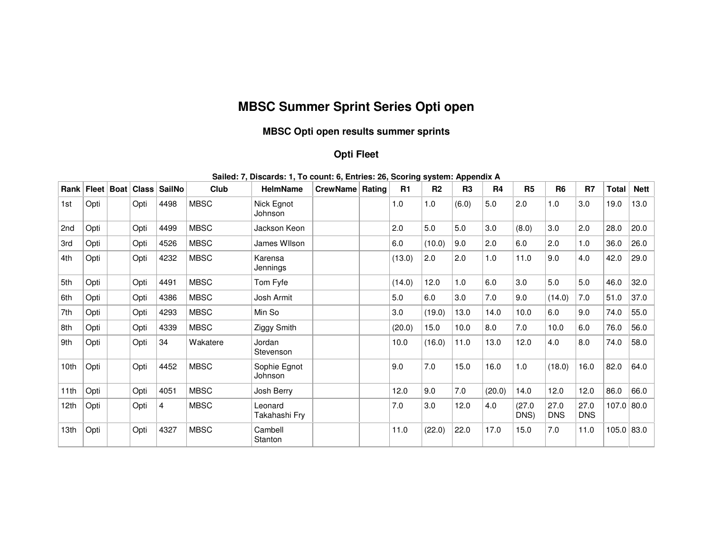## **MBSC Summer Sprint Series Opti open**

## **MBSC Opti open results summer sprints**

## **Opti Fleet**

| Rank ∣ | Fleet | <b>Boat</b> | Class | SailNo         | Club        | <b>HelmName</b>          | CrewName Rating |  | R1     | R <sub>2</sub> | R <sub>3</sub> | R4     | R <sub>5</sub> | R <sub>6</sub>     | R7                 | <b>Total</b> | <b>Nett</b> |
|--------|-------|-------------|-------|----------------|-------------|--------------------------|-----------------|--|--------|----------------|----------------|--------|----------------|--------------------|--------------------|--------------|-------------|
| 1st    | Opti  |             | Opti  | 4498           | <b>MBSC</b> | Nick Egnot<br>Johnson    |                 |  | 1.0    | 1.0            | (6.0)          | 5.0    | 2.0            | 1.0                | 3.0                | 19.0         | 13.0        |
| 2nd    | Opti  |             | Opti  | 4499           | <b>MBSC</b> | Jackson Keon             |                 |  | 2.0    | 5.0            | 5.0            | 3.0    | (8.0)          | 3.0                | 2.0                | 28.0         | 20.0        |
| 3rd    | Opti  |             | Opti  | 4526           | <b>MBSC</b> | James Wllson             |                 |  | 6.0    | (10.0)         | 9.0            | 2.0    | 6.0            | 2.0                | 1.0                | 36.0         | 26.0        |
| 4th    | Opti  |             | Opti  | 4232           | <b>MBSC</b> | Karensa<br>Jennings      |                 |  | (13.0) | 2.0            | 2.0            | 1.0    | 11.0           | 9.0                | 4.0                | 42.0         | 29.0        |
| 5th    | Opti  |             | Opti  | 4491           | <b>MBSC</b> | Tom Fyfe                 |                 |  | (14.0) | 12.0           | 1.0            | 6.0    | 3.0            | 5.0                | 5.0                | 46.0         | 32.0        |
| 6th    | Opti  |             | Opti  | 4386           | <b>MBSC</b> | Josh Armit               |                 |  | 5.0    | 6.0            | 3.0            | 7.0    | 9.0            | (14.0)             | 7.0                | 51.0         | 37.0        |
| 7th    | Opti  |             | Opti  | 4293           | <b>MBSC</b> | Min So                   |                 |  | 3.0    | (19.0)         | 13.0           | 14.0   | 10.0           | 6.0                | 9.0                | 74.0         | 55.0        |
| 8th    | Opti  |             | Opti  | 4339           | <b>MBSC</b> | Ziggy Smith              |                 |  | (20.0) | 15.0           | 10.0           | 8.0    | 7.0            | 10.0               | 6.0                | 76.0         | 56.0        |
| 9th    | Opti  |             | Opti  | 34             | Wakatere    | Jordan<br>Stevenson      |                 |  | 10.0   | (16.0)         | 11.0           | 13.0   | 12.0           | 4.0                | 8.0                | 74.0         | 58.0        |
| 10th   | Opti  |             | Opti  | 4452           | <b>MBSC</b> | Sophie Egnot<br>Johnson  |                 |  | 9.0    | 7.0            | 15.0           | 16.0   | 1.0            | (18.0)             | 16.0               | 82.0         | 64.0        |
| 11th   | Opti  |             | Opti  | 4051           | <b>MBSC</b> | Josh Berry               |                 |  | 12.0   | 9.0            | 7.0            | (20.0) | 14.0           | 12.0               | 12.0               | 86.0         | 66.0        |
| 12th   | Opti  |             | Opti  | $\overline{4}$ | <b>MBSC</b> | Leonard<br>Takahashi Fry |                 |  | 7.0    | 3.0            | 12.0           | 4.0    | (27.0)<br>DNS) | 27.0<br><b>DNS</b> | 27.0<br><b>DNS</b> | $107.0$ 80.0 |             |
| 13th   | Opti  |             | Opti  | 4327           | <b>MBSC</b> | Cambell<br>Stanton       |                 |  | 11.0   | (22.0)         | 22.0           | 17.0   | 15.0           | 7.0                | 11.0               | 105.0 83.0   |             |

## **Sailed: 7, Discards: 1, To count: 6, Entries: 26, Scoring system: Appendix A**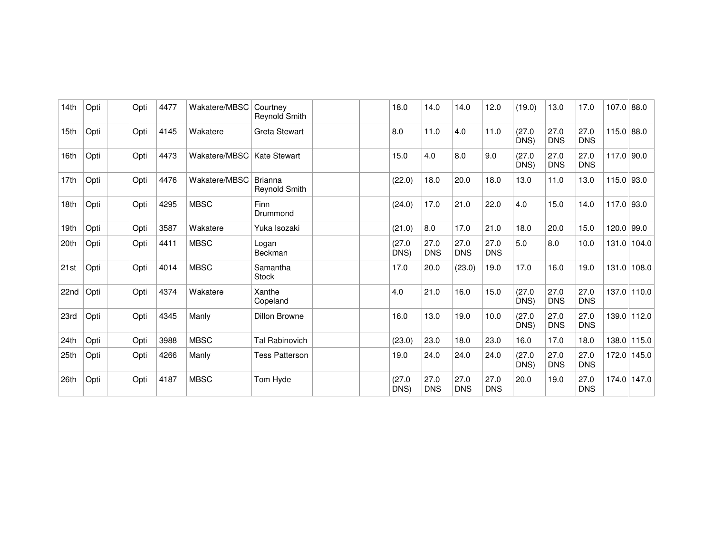| 14 <sub>th</sub> | Opti | Opti | 4477 | Wakatere/MBSC | Courtney<br>Reynold Smith              | 18.0           | 14.0               | 14.0               | 12.0               | (19.0)         | 13.0               | 17.0               | $107.0$ 88.0 |       |
|------------------|------|------|------|---------------|----------------------------------------|----------------|--------------------|--------------------|--------------------|----------------|--------------------|--------------------|--------------|-------|
| 15th             | Opti | Opti | 4145 | Wakatere      | <b>Greta Stewart</b>                   | 8.0            | 11.0               | 4.0                | 11.0               | (27.0)<br>DNS) | 27.0<br><b>DNS</b> | 27.0<br><b>DNS</b> | 115.0 88.0   |       |
| 16th             | Opti | Opti | 4473 | Wakatere/MBSC | <b>Kate Stewart</b>                    | 15.0           | 4.0                | 8.0                | 9.0                | (27.0)<br>DNS) | 27.0<br><b>DNS</b> | 27.0<br><b>DNS</b> | 117.0        | 90.0  |
| 17th             | Opti | Opti | 4476 | Wakatere/MBSC | <b>Brianna</b><br><b>Reynold Smith</b> | (22.0)         | 18.0               | 20.0               | 18.0               | 13.0           | 11.0               | 13.0               | 115.0        | 93.0  |
| 18th             | Opti | Opti | 4295 | <b>MBSC</b>   | <b>Finn</b><br>Drummond                | (24.0)         | 17.0               | 21.0               | 22.0               | 4.0            | 15.0               | 14.0               | 117.0        | 93.0  |
| 19th             | Opti | Opti | 3587 | Wakatere      | Yuka Isozaki                           | (21.0)         | 8.0                | 17.0               | 21.0               | 18.0           | 20.0               | 15.0               | 120.0        | 99.0  |
| 20th             | Opti | Opti | 4411 | <b>MBSC</b>   | Logan<br><b>Beckman</b>                | (27.0)<br>DNS) | 27.0<br><b>DNS</b> | 27.0<br><b>DNS</b> | 27.0<br><b>DNS</b> | 5.0            | 8.0                | 10.0               | 131.0        | 104.0 |
| 21st             | Opti | Opti | 4014 | <b>MBSC</b>   | Samantha<br><b>Stock</b>               | 17.0           | 20.0               | (23.0)             | 19.0               | 17.0           | 16.0               | 19.0               | 131.0        | 108.0 |
| 22nd             | Opti | Opti | 4374 | Wakatere      | Xanthe<br>Copeland                     | 4.0            | 21.0               | 16.0               | 15.0               | (27.0)<br>DNS) | 27.0<br><b>DNS</b> | 27.0<br><b>DNS</b> | 137.0        | 110.0 |
| 23rd             | Opti | Opti | 4345 | Manly         | <b>Dillon Browne</b>                   | 16.0           | 13.0               | 19.0               | 10.0               | (27.0)<br>DNS) | 27.0<br><b>DNS</b> | 27.0<br><b>DNS</b> | 139.0        | 112.0 |
| 24th             | Opti | Opti | 3988 | <b>MBSC</b>   | <b>Tal Rabinovich</b>                  | (23.0)         | 23.0               | 18.0               | 23.0               | 16.0           | 17.0               | 18.0               | 138.0        | 115.0 |
| 25th             | Opti | Opti | 4266 | Manly         | <b>Tess Patterson</b>                  | 19.0           | 24.0               | 24.0               | 24.0               | (27.0)<br>DNS) | 27.0<br><b>DNS</b> | 27.0<br><b>DNS</b> | 172.0        | 145.0 |
| 26th             | Opti | Opti | 4187 | <b>MBSC</b>   | Tom Hyde                               | (27.0)<br>DNS) | 27.0<br><b>DNS</b> | 27.0<br><b>DNS</b> | 27.0<br><b>DNS</b> | 20.0           | 19.0               | 27.0<br><b>DNS</b> | 174.0        | 147.0 |